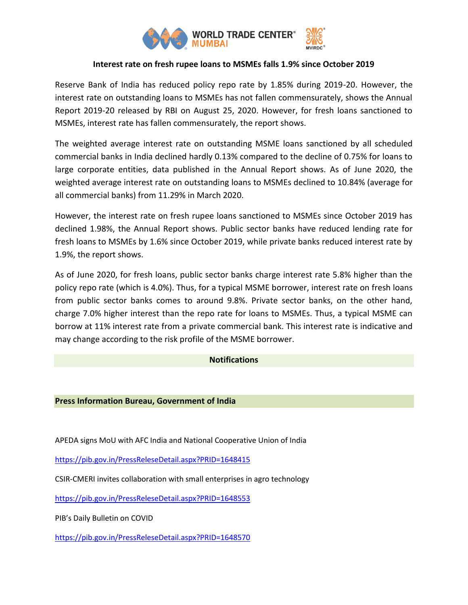

# **Interest rate on fresh rupee loans to MSMEs falls 1.9% since October 2019**

Reserve Bank of India has reduced policy repo rate by 1.85% during 2019-20. However, the interest rate on outstanding loans to MSMEs has not fallen commensurately, shows the Annual Report 2019-20 released by RBI on August 25, 2020. However, for fresh loans sanctioned to MSMEs, interest rate has fallen commensurately, the report shows.

The weighted average interest rate on outstanding MSME loans sanctioned by all scheduled commercial banks in India declined hardly 0.13% compared to the decline of 0.75% for loans to large corporate entities, data published in the Annual Report shows. As of June 2020, the weighted average interest rate on outstanding loans to MSMEs declined to 10.84% (average for all commercial banks) from 11.29% in March 2020.

However, the interest rate on fresh rupee loans sanctioned to MSMEs since October 2019 has declined 1.98%, the Annual Report shows. Public sector banks have reduced lending rate for fresh loans to MSMEs by 1.6% since October 2019, while private banks reduced interest rate by 1.9%, the report shows.

As of June 2020, for fresh loans, public sector banks charge interest rate 5.8% higher than the policy repo rate (which is 4.0%). Thus, for a typical MSME borrower, interest rate on fresh loans from public sector banks comes to around 9.8%. Private sector banks, on the other hand, charge 7.0% higher interest than the repo rate for loans to MSMEs. Thus, a typical MSME can borrow at 11% interest rate from a private commercial bank. This interest rate is indicative and may change according to the risk profile of the MSME borrower.

# **Notifications**

#### **Press Information Bureau, Government of India**

APEDA signs MoU with AFC India and National Cooperative Union of India

<https://pib.gov.in/PressReleseDetail.aspx?PRID=1648415>

CSIR-CMERI invites collaboration with small enterprises in agro technology

<https://pib.gov.in/PressReleseDetail.aspx?PRID=1648553>

PIB's Daily Bulletin on COVID

<https://pib.gov.in/PressReleseDetail.aspx?PRID=1648570>